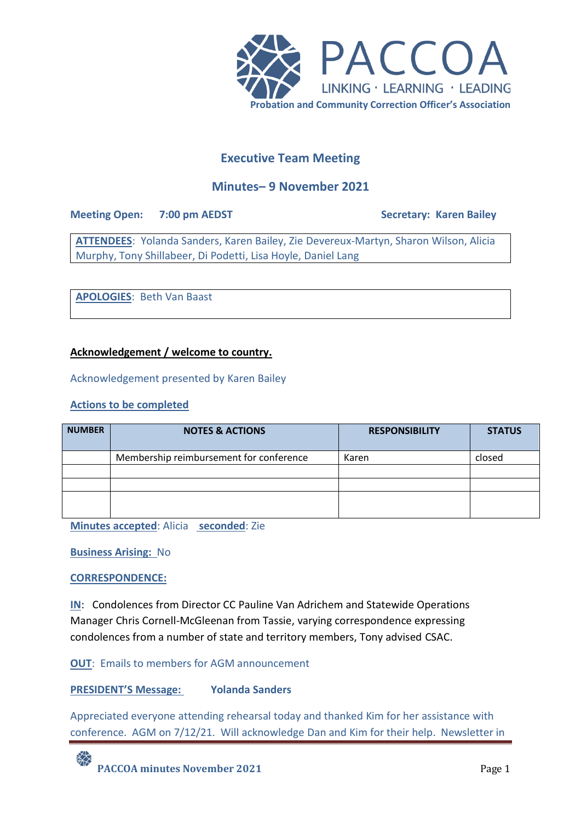

# **Executive Team Meeting**

## **Minutes– 9 November 2021**

**Meeting Open: 7:00 pm AEDST Secretary: Karen Bailey** 

**ATTENDEES**: Yolanda Sanders, Karen Bailey, Zie Devereux-Martyn, Sharon Wilson, Alicia Murphy, Tony Shillabeer, Di Podetti, Lisa Hoyle, Daniel Lang

**APOLOGIES**: Beth Van Baast

## **Acknowledgement / welcome to country.**

Acknowledgement presented by Karen Bailey

## **Actions to be completed**

| <b>NUMBER</b> | <b>NOTES &amp; ACTIONS</b>              | <b>RESPONSIBILITY</b> | <b>STATUS</b> |
|---------------|-----------------------------------------|-----------------------|---------------|
|               | Membership reimbursement for conference | Karen                 | closed        |
|               |                                         |                       |               |
|               |                                         |                       |               |
|               |                                         |                       |               |

**Minutes accepted**: Alicia **seconded**: Zie

**Business Arising:** No

## **CORRESPONDENCE:**

**IN**: Condolences from Director CC Pauline Van Adrichem and Statewide Operations Manager Chris Cornell-McGleenan from Tassie, varying correspondence expressing condolences from a number of state and territory members, Tony advised CSAC.

**OUT:** Emails to members for AGM announcement

## **PRESIDENT'S Message: Yolanda Sanders**

Appreciated everyone attending rehearsal today and thanked Kim for her assistance with conference. AGM on 7/12/21. Will acknowledge Dan and Kim for their help. Newsletter in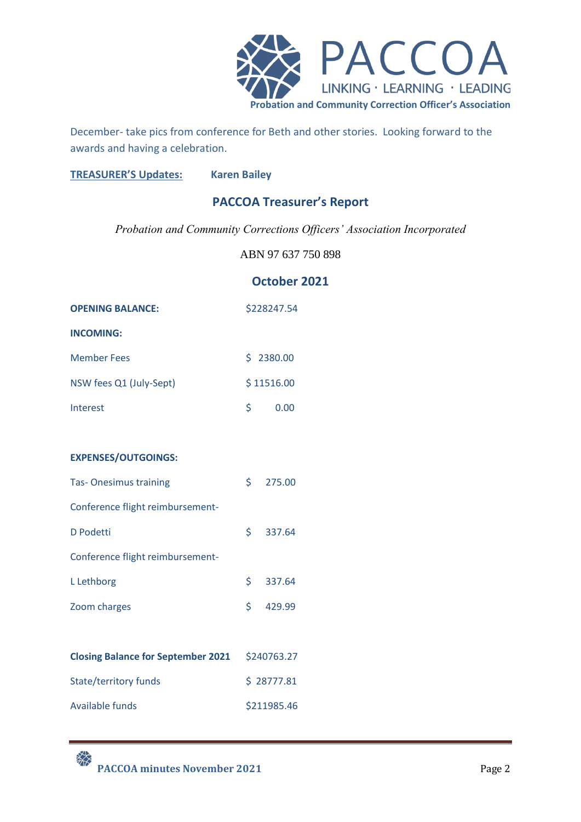

December- take pics from conference for Beth and other stories. Looking forward to the awards and having a celebration.

**TREASURER'S Updates: Karen Bailey**

# **PACCOA Treasurer's Report**

*Probation and Community Corrections Officers' Association Incorporated*

ABN 97 637 750 898

## **October 2021**

| <b>OPENING BALANCE:</b> |            | \$228247.54 |
|-------------------------|------------|-------------|
| <b>INCOMING:</b>        |            |             |
| <b>Member Fees</b>      | \$2380.00  |             |
| NSW fees Q1 (July-Sept) | \$11516.00 |             |
| Interest                | S          | 0.00        |

## **EXPENSES/OUTGOINGS:**

| <b>Tas-Onesimus training</b>     |    | \$275.00   |
|----------------------------------|----|------------|
| Conference flight reimbursement- |    |            |
| D Podetti                        |    | $5$ 337.64 |
| Conference flight reimbursement- |    |            |
| L Lethborg                       | S. | 337.64     |
| Zoom charges                     | \$ | 429.99     |

| <b>Closing Balance for September 2021</b> | \$240763.27 |
|-------------------------------------------|-------------|
| State/territory funds                     | \$28777.81  |
| Available funds                           | \$211985.46 |

**PACCOA minutes November 2021** Page 2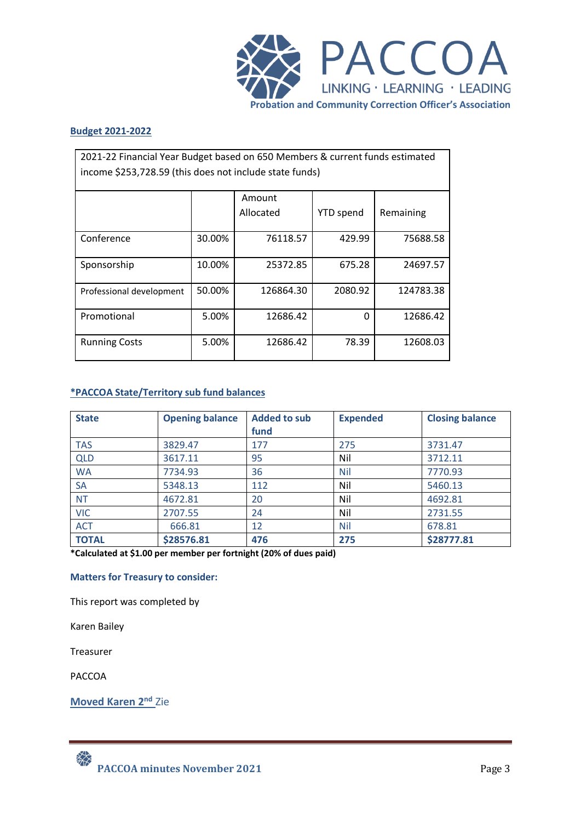

#### **Budget 2021-2022**

| 2021-22 Financial Year Budget based on 650 Members & current funds estimated<br>income \$253,728.59 (this does not include state funds) |        |                     |                  |           |  |
|-----------------------------------------------------------------------------------------------------------------------------------------|--------|---------------------|------------------|-----------|--|
|                                                                                                                                         |        | Amount<br>Allocated | <b>YTD</b> spend | Remaining |  |
| Conference                                                                                                                              | 30.00% | 76118.57            | 429.99           | 75688.58  |  |
| Sponsorship                                                                                                                             | 10.00% | 25372.85            | 675.28           | 24697.57  |  |
| Professional development                                                                                                                | 50.00% | 126864.30           | 2080.92          | 124783.38 |  |
| Promotional                                                                                                                             | 5.00%  | 12686.42            | O                | 12686.42  |  |
| <b>Running Costs</b>                                                                                                                    | 5.00%  | 12686.42            | 78.39            | 12608.03  |  |

## **\*PACCOA State/Territory sub fund balances**

| <b>State</b> | <b>Opening balance</b> | <b>Added to sub</b><br>fund | <b>Expended</b> | <b>Closing balance</b> |
|--------------|------------------------|-----------------------------|-----------------|------------------------|
| <b>TAS</b>   | 3829.47                | 177                         | 275             | 3731.47                |
| <b>QLD</b>   | 3617.11                | 95                          | Nil             | 3712.11                |
| <b>WA</b>    | 7734.93                | 36                          | <b>Nil</b>      | 7770.93                |
| <b>SA</b>    | 5348.13                | 112                         | Nil             | 5460.13                |
| <b>NT</b>    | 4672.81                | 20                          | Nil             | 4692.81                |
| <b>VIC</b>   | 2707.55                | 24                          | Nil             | 2731.55                |
| <b>ACT</b>   | 666.81                 | 12                          | <b>Nil</b>      | 678.81                 |
| <b>TOTAL</b> | \$28576.81             | 476                         | 275             | \$28777.81             |

**\*Calculated at \$1.00 per member per fortnight (20% of dues paid)**

#### **Matters for Treasury to consider:**

This report was completed by

Karen Bailey

Treasurer

PACCOA

**Moved Karen 2nd** Zie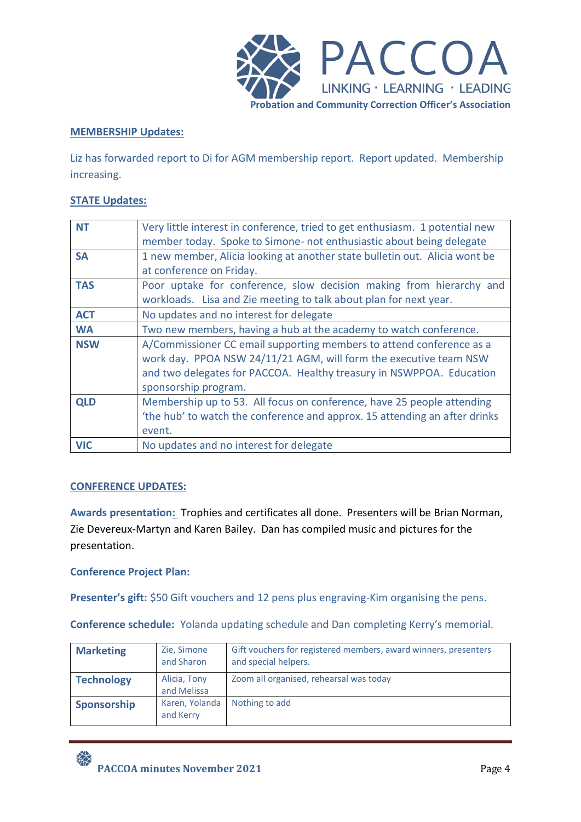

## **MEMBERSHIP Updates:**

Liz has forwarded report to Di for AGM membership report. Report updated. Membership increasing.

## **STATE Updates:**

| <b>NT</b>  | Very little interest in conference, tried to get enthusiasm. 1 potential new |
|------------|------------------------------------------------------------------------------|
|            | member today. Spoke to Simone- not enthusiastic about being delegate         |
| <b>SA</b>  | 1 new member, Alicia looking at another state bulletin out. Alicia wont be   |
|            | at conference on Friday.                                                     |
| <b>TAS</b> | Poor uptake for conference, slow decision making from hierarchy and          |
|            | workloads. Lisa and Zie meeting to talk about plan for next year.            |
| <b>ACT</b> | No updates and no interest for delegate                                      |
| <b>WA</b>  | Two new members, having a hub at the academy to watch conference.            |
| <b>NSW</b> | A/Commissioner CC email supporting members to attend conference as a         |
|            | work day. PPOA NSW 24/11/21 AGM, will form the executive team NSW            |
|            | and two delegates for PACCOA. Healthy treasury in NSWPPOA. Education         |
|            | sponsorship program.                                                         |
| <b>QLD</b> | Membership up to 53. All focus on conference, have 25 people attending       |
|            | 'the hub' to watch the conference and approx. 15 attending an after drinks   |
|            | event.                                                                       |
| <b>VIC</b> | No updates and no interest for delegate                                      |

## **CONFERENCE UPDATES:**

**Awards presentation:** Trophies and certificates all done. Presenters will be Brian Norman, Zie Devereux-Martyn and Karen Bailey. Dan has compiled music and pictures for the presentation.

## **Conference Project Plan:**

**Presenter's gift:** \$50 Gift vouchers and 12 pens plus engraving-Kim organising the pens.

**Conference schedule:** Yolanda updating schedule and Dan completing Kerry's memorial.

| <b>Marketing</b>  | Zie, Simone<br>and Sharon   | Gift vouchers for registered members, award winners, presenters<br>and special helpers. |
|-------------------|-----------------------------|-----------------------------------------------------------------------------------------|
| <b>Technology</b> | Alicia, Tony<br>and Melissa | Zoom all organised, rehearsal was today                                                 |
| Sponsorship       | Karen, Yolanda<br>and Kerry | Nothing to add                                                                          |